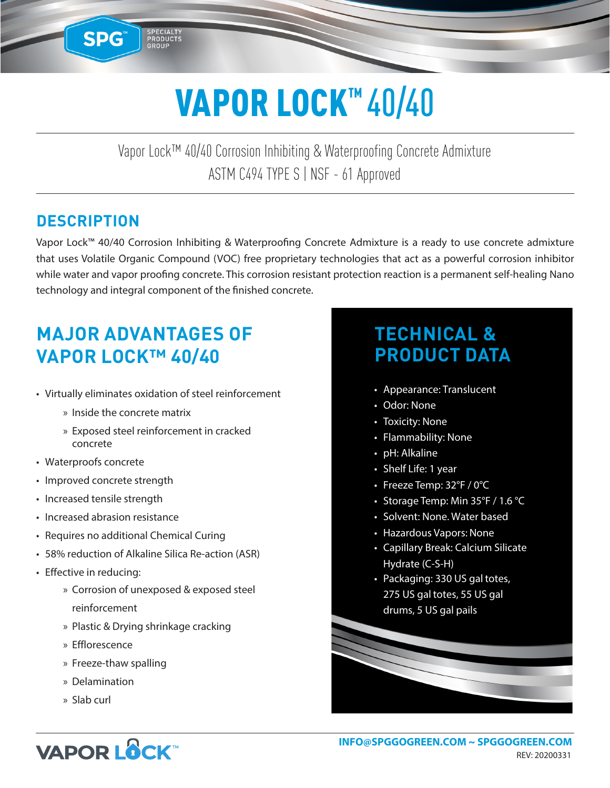# VAPOR LOCK™40/40

Vapor Lock™ 40/40 Corrosion Inhibiting & Waterproofing Concrete Admixture ASTM C494 TYPE S | NSF - 61 Approved

### **DESCRIPTION**

**SPG™** 

SPECIALITY<br>PRODUCTS

Vapor Lock™ 40/40 Corrosion Inhibiting & Waterproofing Concrete Admixture is a ready to use concrete admixture that uses Volatile Organic Compound (VOC) free proprietary technologies that act as a powerful corrosion inhibitor while water and vapor proofing concrete. This corrosion resistant protection reaction is a permanent self-healing Nano technology and integral component of the finished concrete.

# **MAJOR ADVANTAGES OF VAPOR LOCK™ 40/40**

- Virtually eliminates oxidation of steel reinforcement
	- » Inside the concrete matrix
	- » Exposed steel reinforcement in cracked concrete
- Waterproofs concrete
- Improved concrete strength
- Increased tensile strength
- Increased abrasion resistance
- Requires no additional Chemical Curing
- 58% reduction of Alkaline Silica Re-action (ASR)
- Effective in reducing:
	- » Corrosion of unexposed & exposed steel reinforcement
	- » Plastic & Drying shrinkage cracking
	- » Efflorescence
	- » Freeze-thaw spalling
	- » Delamination
	- » Slab curl

# **TECHNICAL & PRODUCT DATA**

- Appearance: Translucent
- Odor: None
- Toxicity: None
- Flammability: None
- pH: Alkaline
- Shelf Life: 1 year
- Freeze Temp: 32°F / 0°C
- Storage Temp: Min 35°F / 1.6 °C
- Solvent: None. Water based
- Hazardous Vapors: None
- Capillary Break: Calcium Silicate Hydrate (C-S-H)
- Packaging: 330 US gal totes, 275 US gal totes, 55 US gal drums, 5 US gal pails